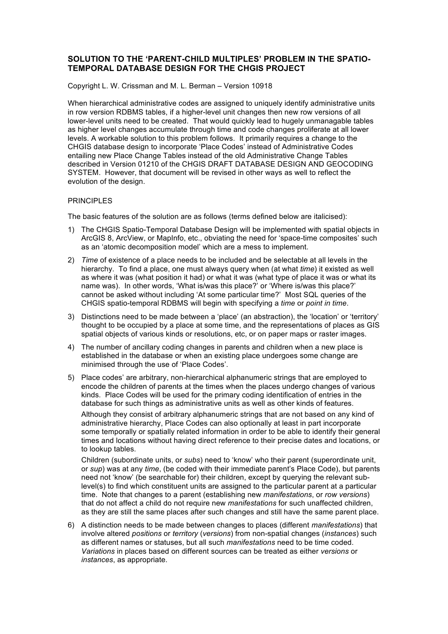# **SOLUTION TO THE 'PARENT-CHILD MULTIPLES' PROBLEM IN THE SPATIO-TEMPORAL DATABASE DESIGN FOR THE CHGIS PROJECT**

Copyright L. W. Crissman and M. L. Berman – Version 10918

When hierarchical administrative codes are assigned to uniquely identify administrative units in row version RDBMS tables, if a higher-level unit changes then new row versions of all lower-level units need to be created. That would quickly lead to hugely unmanagable tables as higher level changes accumulate through time and code changes proliferate at all lower levels. A workable solution to this problem follows. It primarily requires a change to the CHGIS database design to incorporate 'Place Codes' instead of Administrative Codes entailing new Place Change Tables instead of the old Administrative Change Tables described in Version 01210 of the CHGIS DRAFT DATABASE DESIGN AND GEOCODING SYSTEM. However, that document will be revised in other ways as well to reflect the evolution of the design.

### PRINCIPLES

The basic features of the solution are as follows (terms defined below are italicised):

- 1) The CHGIS Spatio-Temporal Database Design will be implemented with spatial objects in ArcGIS 8, ArcView, or MapInfo, etc., obviating the need for 'space-time composites' such as an 'atomic decomposition model' which are a mess to implement.
- 2) *Time* of existence of a place needs to be included and be selectable at all levels in the hierarchy. To find a place, one must always query when (at what *time*) it existed as well as where it was (what position it had) or what it was (what type of place it was or what its name was). In other words, 'What is/was this place?' or 'Where is/was this place?' cannot be asked without including 'At some particular time?' Most SQL queries of the CHGIS spatio-temporal RDBMS will begin with specifying a *time* or *point in time*.
- 3) Distinctions need to be made between a 'place' (an abstraction), the 'location' or 'territory' thought to be occupied by a place at some time, and the representations of places as GIS spatial objects of various kinds or resolutions, etc, or on paper maps or raster images.
- 4) The number of ancillary coding changes in parents and children when a new place is established in the database or when an existing place undergoes some change are minimised through the use of 'Place Codes'.
- 5) Place codes' are arbitrary, non-hierarchical alphanumeric strings that are employed to encode the children of parents at the times when the places undergo changes of various kinds. Place Codes will be used for the primary coding identification of entries in the database for such things as administrative units as well as other kinds of features.

Although they consist of arbitrary alphanumeric strings that are not based on any kind of administrative hierarchy, Place Codes can also optionally at least in part incorporate some temporally or spatially related information in order to be able to identify their general times and locations without having direct reference to their precise dates and locations, or to lookup tables.

Children (subordinate units, or *subs*) need to 'know' who their parent (superordinate unit, or *sup*) was at any *time*, (be coded with their immediate parent's Place Code), but parents need not 'know' (be searchable for) their children, except by querying the relevant sublevel(s) to find which constituent units are assigned to the particular parent at a particular time. Note that changes to a parent (establishing new *manifestations*, or *row versions*) that do not affect a child do not require new *manifestations* for such unaffected children, as they are still the same places after such changes and still have the same parent place.

6) A distinction needs to be made between changes to places (different *manifestations*) that involve altered *positions* or *territory* (*versions*) from non-spatial changes (*instances*) such as different names or statuses, but all such *manifestations* need to be time coded. *Variations* in places based on different sources can be treated as either *versions* or *instances*, as appropriate.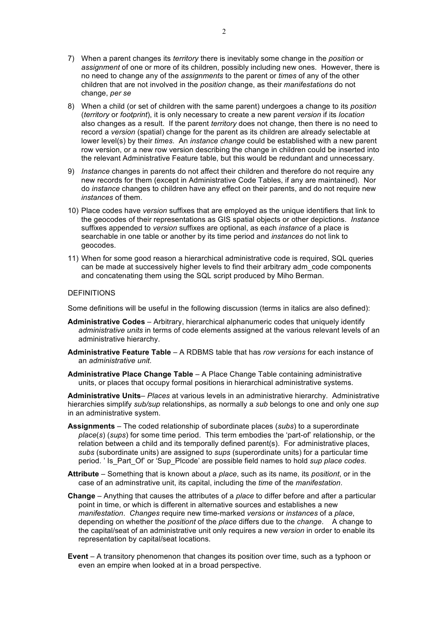- 7) When a parent changes its *territory* there is inevitably some change in the *position* or *assignment* of one or more of its children, possibly including new ones. However, there is no need to change any of the *assignments* to the parent or *times* of any of the other children that are not involved in the *position* change, as their *manifestations* do not change, *per se*
- 8) When a child (or set of children with the same parent) undergoes a change to its *position* (*territory* or *footprint*), it is only necessary to create a new parent *version* if its *location* also changes as a result. If the parent *territory* does not change, then there is no need to record a *version* (spatial) change for the parent as its children are already selectable at lower level(s) by their *times*. An *instance change* could be established with a new parent row version, or a new row version describing the change in children could be inserted into the relevant Administrative Feature table, but this would be redundant and unnecessary.
- 9) *Instance* changes in parents do not affect their children and therefore do not require any new records for them (except in Administrative Code Tables, if any are maintained). Nor do *instance* changes to children have any effect on their parents, and do not require new *instances* of them.
- 10) Place codes have *version* suffixes that are employed as the unique identifiers that link to the geocodes of their representations as GIS spatial objects or other depictions. *Instance* suffixes appended to *version* suffixes are optional, as each *instance* of a place is searchable in one table or another by its time period and *instances* do not link to geocodes.
- 11) When for some good reason a hierarchical administrative code is required, SQL queries can be made at successively higher levels to find their arbitrary adm\_code components and concatenating them using the SQL script produced by Miho Berman.

## DEFINITIONS

Some definitions will be useful in the following discussion (terms in italics are also defined):

- **Administrative Codes** Arbitrary, hierarchical alphanumeric codes that uniquely identify *administrative units* in terms of code elements assigned at the various relevant levels of an administrative hierarchy.
- **Administrative Feature Table** A RDBMS table that has *row versions* for each instance of an *administrative unit*.
- **Administrative Place Change Table** A Place Change Table containing administrative units, or places that occupy formal positions in hierarchical administrative systems.

**Administrative Units**– *Places* at various levels in an administrative hierarchy. Administrative hierarchies simplify *sub/sup* relationships, as normally a *sub* belongs to one and only one *sup*  in an administrative system.

- **Assignments** The coded relationship of subordinate places (*subs*) to a superordinate *place*(*s*) (*sups*) for some time period. This term embodies the 'part-of' relationship, or the relation between a child and its temporally defined parent(s). For administrative places, *subs* (subordinate units) are assigned to *sups* (superordinate units) for a particular time period. ' Is\_Part\_Of' or 'Sup\_Plcode' are possible field names to hold *sup place codes*.
- **Attribute** Something that is known about a *place*, such as its name, its *positiont*, or in the case of an adminstrative unit, its capital, including the *time* of the *manifestation*.
- **Change** Anything that causes the attributes of a *place* to differ before and after a particular point in time, or which is different in alternative sources and establishes a new *manifestation*. *Changes* require new time-marked *versions* or *instances* of a *place*, depending on whether the *positiont* of the *place* differs due to the *change*. A change to the capital/seat of an administrative unit only requires a new *version* in order to enable its representation by capital/seat locations.
- **Event** A transitory phenomenon that changes its position over time, such as a typhoon or even an empire when looked at in a broad perspective.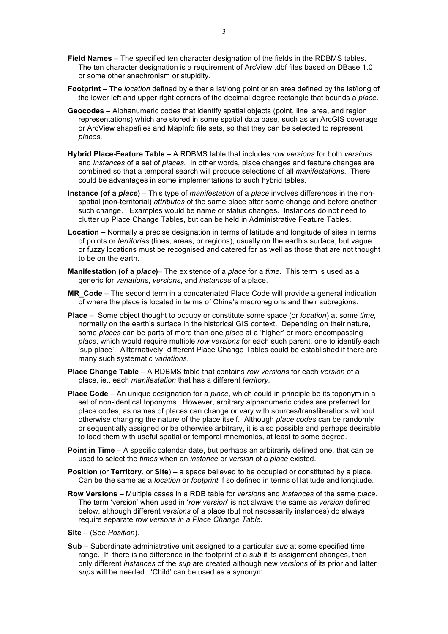- **Field Names** The specified ten character designation of the fields in the RDBMS tables. The ten character designation is a requirement of ArcView .dbf files based on DBase 1.0 or some other anachronism or stupidity.
- **Footprint** The *location* defined by either a lat/long point or an area defined by the lat/long of the lower left and upper right corners of the decimal degree rectangle that bounds a *place*.
- **Geocodes** Alphanumeric codes that identify spatial objects (point, line, area, and region representations) which are stored in some spatial data base, such as an ArcGIS coverage or ArcView shapefiles and MapInfo file sets, so that they can be selected to represent *places*.
- **Hybrid Place-Feature Table**  A RDBMS table that includes *row versions* for both *versions* and *instances* of a set of *places.* In other words, place changes and feature changes are combined so that a temporal search will produce selections of all *manifestations*. There could be advantages in some implementations to such hybrid tables.
- **Instance (of a** *place***)** This type of *manifestation* of a *place* involves differences in the nonspatial (non-territorial) *attributes* of the same place after some change and before another such change. Examples would be name or status changes. Instances do not need to clutter up Place Change Tables, but can be held in Administrative Feature Tables.
- **Location** Normally a precise designation in terms of latitude and longitude of sites in terms of points or *territories* (lines, areas, or regions), usually on the earth's surface, but vague or fuzzy locations must be recognised and catered for as well as those that are not thought to be on the earth.
- **Manifestation (of a** *place***)** The existence of a *place* for a *time*. This term is used as a generic for *variations*, *versions*, and *instances* of a place.
- **MR\_Code** The second term in a concatenated Place Code will provide a general indication of where the place is located in terms of China's macroregions and their subregions.
- **Place** Some object thought to occupy or constitute some space (or *location*) at some *time,*  normally on the earth's surface in the historical GIS context. Depending on their nature, some *places* can be parts of more than one *place* at a 'higher' or more encompassing *place*, which would require multiple *row versions* for each such parent, one to identify each 'sup place'. Allternatively, different Place Change Tables could be established if there are many such systematic *variations*.
- **Place Change Table**  A RDBMS table that contains *row versions* for each *version* of a place, ie., each *manifestation* that has a different *territory*.
- **Place Code** An unique designation for a *place*, which could in principle be its toponym in a set of non-identical toponyms. However, arbitrary alphanumeric codes are preferred for place codes, as names of places can change or vary with sources/transliterations without otherwise changing the nature of the place itself. Although *place codes* can be randomly or sequentially assigned or be otherwise arbitrary, it is also possible and perhaps desirable to load them with useful spatial or temporal mnemonics, at least to some degree.
- **Point in Time** A specific calendar date, but perhaps an arbitrarily defined one, that can be used to select the *times* when an *instance* or *version* of a *place* existed.
- **Position** (or **Territory**, or **Site**) a space believed to be occupied or constituted by a place. Can be the same as a *location* or *footprint* if so defined in terms of latitude and longitude.
- **Row Versions** Multiple cases in a RDB table for *versions* and *instances* of the same *place*. The term 'version' when used in '*row version*' is not always the same as *version* defined below, although different *versions* of a place (but not necessarily instances) do always require separate *row versons in a Place Change Table*.
- **Site**  (See *Position*).
- **Sub** Subordinate administrative unit assigned to a particular *sup* at some specified time range. If there is no difference in the footprint of a *sub* if its assignment changes, then only different *instances* of the *sup* are created although new *versions* of its prior and latter *sups* will be needed. 'Child' can be used as a synonym.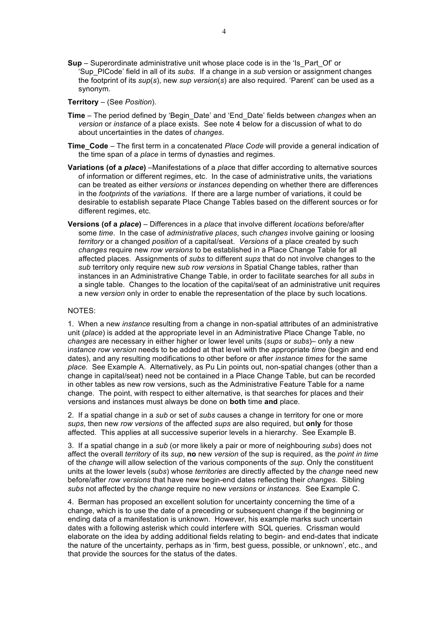- **Sup** Superordinate administrative unit whose place code is in the 'Is\_Part\_Of' or 'Sup\_PlCode' field in all of its *subs*. If a change in a *sub* version or assignment changes the footprint of its *sup*(*s*), new *sup version*(*s*) are also required. 'Parent' can be used as a synonym.
- **Territory** (See *Position*).
- **Time** The period defined by 'Begin\_Date' and 'End\_Date' fields between *changes* when an *version* or *instance* of a place exists. See note 4 below for a discussion of what to do about uncertainties in the dates of *changes*.
- **Time\_Code** The first term in a concatenated *Place Code* will provide a general indication of the time span of a *place* in terms of dynasties and regimes.
- **Variations (of a** *place***)** –Manifestations of a *plac*e that differ according to alternative sources of information or different regimes, etc. In the case of administrative units, the variations can be treated as either *versions* or *instances* depending on whether there are differences in the *footprints* of the *variations*. If there are a large number of variations, it could be desirable to establish separate Place Change Tables based on the different sources or for different regimes, etc.
- **Versions (of a** *place***)** Differences in a *place* that involve different *locations* before/after some *time*. In the case of *administrative places*, such *changes* involve gaining or loosing *territory* or a changed *position* of a capital/seat. *Versions* of a place created by such *changes* require new *row versions* to be established in a Place Change Table for all affected places. Assignments of *subs* to different *sups* that do not involve changes to the *sub* territory only require new *sub row versions* in Spatial Change tables, rather than instances in an Administrative Change Table, in order to facilitate searches for all *subs* in a single table. Changes to the location of the capital/seat of an administrative unit requires a new *version* only in order to enable the representation of the place by such locations.

### NOTES:

1. When a new *instance* resulting from a change in non-spatial attributes of an administrative unit (*place*) is added at the appropriate level in an Administrative Place Change Table, no *changes* are necessary in either higher or lower level units (*sups* or *subs*)– only a new i*nstance row version* needs to be added at that level with the appropriate *time* (begin and end dates), and any resulting modifications to other before or after *instance times* for the same *place*. See Example A. Alternatively, as Pu Lin points out, non-spatial changes (other than a change in capital/seat) need not be contained in a Place Change Table, but can be recorded in other tables as new row versions, such as the Administrative Feature Table for a name change. The point, with respect to either alternative, is that searches for places and their versions and instances must always be done on **both** time **and** place.

2. If a spatial change in a *sub* or set of *subs* causes a change in territory for one or more *sups*, then new *row versions* of the affected *sups* are also required, but **only** for those affected. This applies at all successive superior levels in a hierarchy. See Example B.

3. If a spatial change in a *sub* (or more likely a pair or more of neighbouring *subs*) does not affect the overall *territory* of its *sup*, **no** new *version* of the sup is required, as the *point in time* of the *change* will allow selection of the various components of the *sup*. Only the constituent units at the lower levels (*subs*) whose *territories* are directly affected by the *change* need new before/after *row versions* that have new begin-end dates reflecting their *changes*. Sibling *subs* not affected by the *change* require no new *versions* or *instances*. See Example C.

4. Berman has proposed an excellent solution for uncertainty concerning the time of a change, which is to use the date of a preceding or subsequent change if the beginning or ending data of a manifestation is unknown. However, his example marks such uncertain dates with a following asterisk which could interfere with SQL queries. Crissman would elaborate on the idea by adding additional fields relating to begin- and end-dates that indicate the nature of the uncertainty, perhaps as in 'firm, best guess, possible, or unknown', etc., and that provide the sources for the status of the dates.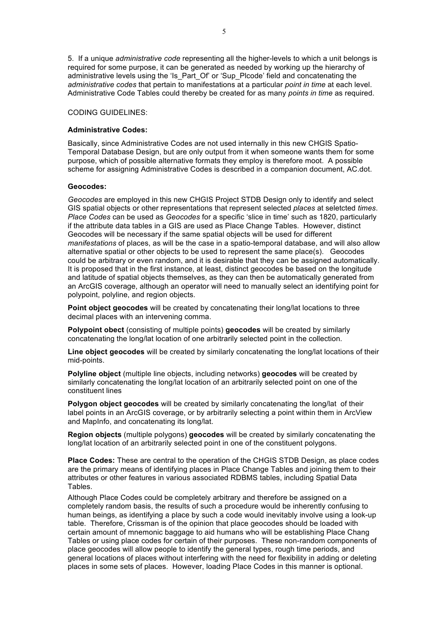5. If a unique *administrative code* representing all the higher-levels to which a unit belongs is required for some purpose, it can be generated as needed by working up the hierarchy of administrative levels using the 'Is Part Of' or 'Sup Plcode' field and concatenating the *administrative codes* that pertain to manifestations at a particular *point in time* at each level. Administrative Code Tables could thereby be created for as many *points in time* as required.

# CODING GUIDELINES:

#### **Administrative Codes:**

Basically, since Administrative Codes are not used internally in this new CHGIS Spatio-Temporal Database Design, but are only output from it when someone wants them for some purpose, which of possible alternative formats they employ is therefore moot. A possible scheme for assigning Administrative Codes is described in a companion document, AC.dot.

#### **Geocodes:**

*Geocodes* are employed in this new CHGIS Project STDB Design only to identify and select GIS spatial objects or other representations that represent selected *places* at seletcted *times*. *Place Codes* can be used as *Geocodes* for a specific 'slice in time' such as 1820, particularly if the attribute data tables in a GIS are used as Place Change Tables. However, distinct Geocodes will be necessary if the same spatial objects will be used for different *manifestations* of places, as will be the case in a spatio-temporal database, and will also allow alternative spatial or other objects to be used to represent the same place(s). Geocodes could be arbitrary or even random, and it is desirable that they can be assigned automatically. It is proposed that in the first instance, at least, distinct geocodes be based on the longitude and latitude of spatial objects themselves, as they can then be automatically generated from an ArcGIS coverage, although an operator will need to manually select an identifying point for polypoint, polyline, and region objects.

**Point object geocodes** will be created by concatenating their long/lat locations to three decimal places with an intervening comma.

**Polypoint obect** (consisting of multiple points) **geocodes** will be created by similarly concatenating the long/lat location of one arbitrarily selected point in the collection.

**Line object geocodes** will be created by similarly concatenating the long/lat locations of their mid-points.

**Polyline object** (multiple line objects, including networks) **geocodes** will be created by similarly concatenating the long/lat location of an arbitrarily selected point on one of the constituent lines

**Polygon object geocodes** will be created by similarly concatenating the long/lat of their label points in an ArcGIS coverage, or by arbitrarily selecting a point within them in ArcView and MapInfo, and concatenating its long/lat.

**Region objects** (multiple polygons) **geocodes** will be created by similarly concatenating the long/lat location of an arbitrarily selected point in one of the constituent polygons.

**Place Codes:** These are central to the operation of the CHGIS STDB Design, as place codes are the primary means of identifying places in Place Change Tables and joining them to their attributes or other features in various associated RDBMS tables, including Spatial Data Tables.

Although Place Codes could be completely arbitrary and therefore be assigned on a completely random basis, the results of such a procedure would be inherently confusing to human beings, as identifying a place by such a code would inevitably involve using a look-up table. Therefore, Crissman is of the opinion that place geocodes should be loaded with certain amount of mnemonic baggage to aid humans who will be establishing Place Chang Tables or using place codes for certain of their purposes. These non-random components of place geocodes will allow people to identify the general types, rough time periods, and general locations of places without interfering with the need for flexibility in adding or deleting places in some sets of places. However, loading Place Codes in this manner is optional.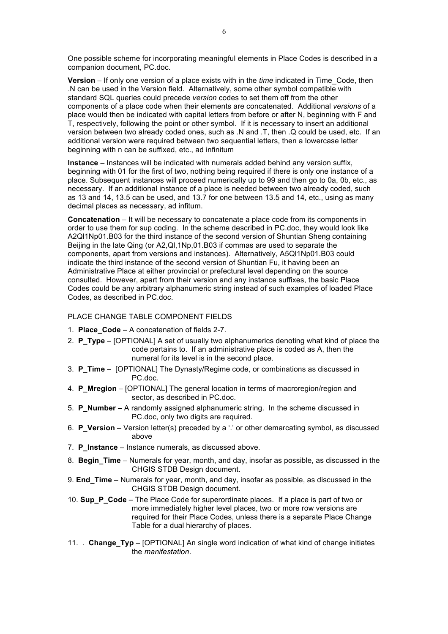One possible scheme for incorporating meaningful elements in Place Codes is described in a companion document, PC.doc.

**Version** – If only one version of a place exists with in the *time* indicated in Time\_Code, then .N can be used in the Version field. Alternatively, some other symbol compatible with standard SQL queries could precede *version* codes to set them off from the other components of a place code when their elements are concatenated. Additional *versions* of a place would then be indicated with capital letters from before or after N, beginning with F and T, respectively, following the point or other symbol. If it is necessary to insert an additional version between two already coded ones, such as .N and .T, then .Q could be used, etc. If an additional version were required between two sequential letters, then a lowercase letter beginning with n can be suffixed, etc., ad infinitum

**Instance** – Instances will be indicated with numerals added behind any version suffix, beginning with 01 for the first of two, nothing being required if there is only one instance of a place. Subsequent instances will proceed numerically up to 99 and then go to 0a, 0b, etc., as necessary. If an additional instance of a place is needed between two already coded, such as 13 and 14, 13.5 can be used, and 13.7 for one between 13.5 and 14, etc., using as many decimal places as necessary, ad infitum.

**Concatenation** – It will be necessary to concatenate a place code from its components in order to use them for sup coding. In the scheme described in PC.doc, they would look like A2Ql1Np01.B03 for the third instance of the second version of Shuntian Sheng containing Beijing in the late Qing (or A2,Ql,1Np,01.B03 if commas are used to separate the components, apart from versions and instances). Alternatively, A5Ql1Np01.B03 could indicate the third instance of the second version of Shuntian Fu, it having been an Administrative Place at either provincial or prefectural level depending on the source consulted. However, apart from their version and any instance suffixes, the basic Place Codes could be any arbitrary alphanumeric string instead of such examples of loaded Place Codes, as described in PC.doc.

### PLACE CHANGE TABLE COMPONENT FIELDS

- 1. **Place\_Code** A concatenation of fields 2-7.
- 2. **P\_Type**  [OPTIONAL] A set of usually two alphanumerics denoting what kind of place the code pertains to. If an administrative place is coded as A, then the numeral for its level is in the second place.
- 3. **P\_Time** [OPTIONAL] The Dynasty/Regime code, or combinations as discussed in PC.doc.
- 4. **P\_Mregion** [OPTIONAL] The general location in terms of macroregion/region and sector, as described in PC.doc.
- 5. **P\_Number**  A randomly assigned alphanumeric string. In the scheme discussed in PC.doc, only two digits are required.
- 6. **P\_Version** Version letter(s) preceded by a '.' or other demarcating symbol, as discussed above
- 7. **P\_Instance** Instance numerals, as discussed above.
- 8. **Begin\_Time** Numerals for year, month, and day, insofar as possible, as discussed in the CHGIS STDB Design document.
- 9. **End\_Time** Numerals for year, month, and day, insofar as possible, as discussed in the CHGIS STDB Design document.
- 10. **Sup\_P\_Code** The Place Code for superordinate places. If a place is part of two or more immediately higher level places, two or more row versions are required for their Place Codes, unless there is a separate Place Change Table for a dual hierarchy of places.
- 11. . **Change\_Typ** [OPTIONAL] An single word indication of what kind of change initiates the *manifestation*.